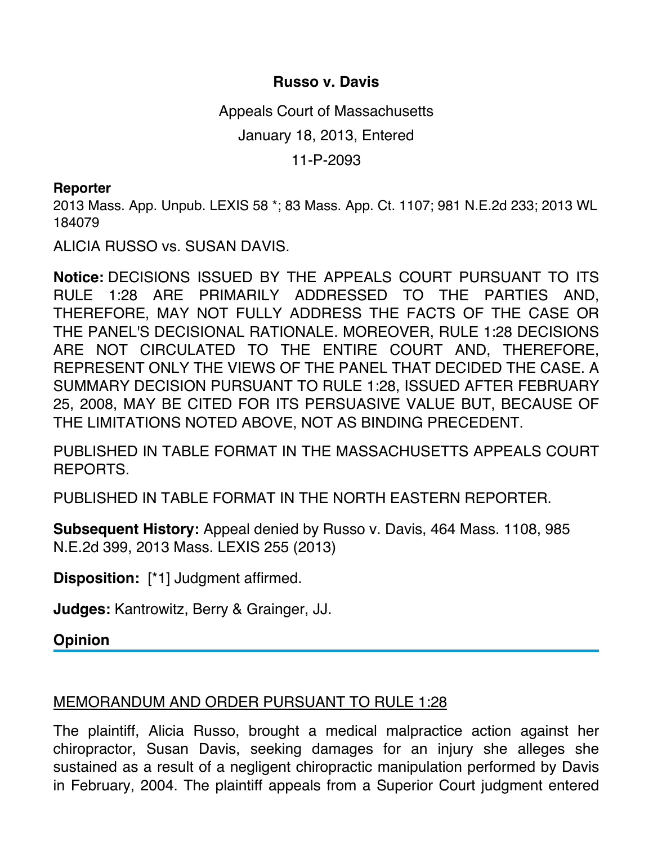## **Russo v. Davis**

Appeals Court of Massachusetts

January 18, 2013, Entered

11-P-2093

## **Reporter**

2013 Mass. App. Unpub. LEXIS 58 \*; 83 Mass. App. Ct. 1107; 981 N.E.2d 233; 2013 WL 184079

ALICIA RUSSO vs. SUSAN DAVIS.

**Notice:** DECISIONS ISSUED BY THE APPEALS COURT PURSUANT TO ITS RULE 1:28 ARE PRIMARILY ADDRESSED TO THE PARTIES AND, THEREFORE, MAY NOT FULLY ADDRESS THE FACTS OF THE CASE OR THE PANEL'S DECISIONAL RATIONALE. MOREOVER, RULE 1:28 DECISIONS ARE NOT CIRCULATED TO THE ENTIRE COURT AND, THEREFORE, REPRESENT ONLY THE VIEWS OF THE PANEL THAT DECIDED THE CASE. A SUMMARY DECISION PURSUANT TO RULE 1:28, ISSUED AFTER FEBRUARY 25, 2008, MAY BE CITED FOR ITS PERSUASIVE VALUE BUT, BECAUSE OF THE LIMITATIONS NOTED ABOVE, NOT AS BINDING PRECEDENT.

PUBLISHED IN TABLE FORMAT IN THE MASSACHUSETTS APPEALS COURT REPORTS.

PUBLISHED IN TABLE FORMAT IN THE NORTH EASTERN REPORTER.

**Subsequent History:** Appeal denied by Russo v. Davis, 464 Mass. 1108, 985 N.E.2d 399, 2013 Mass. LEXIS 255 (2013)

**Disposition:** [\*1] Judgment affirmed.

**Judges:** Kantrowitz, Berry & Grainger, JJ.

**Opinion**

## MEMORANDUM AND ORDER PURSUANT TO RULE 1:28

The plaintiff, Alicia Russo, brought a medical malpractice action against her chiropractor, Susan Davis, seeking damages for an injury she alleges she sustained as a result of a negligent chiropractic manipulation performed by Davis in February, 2004. The plaintiff appeals from a Superior Court judgment entered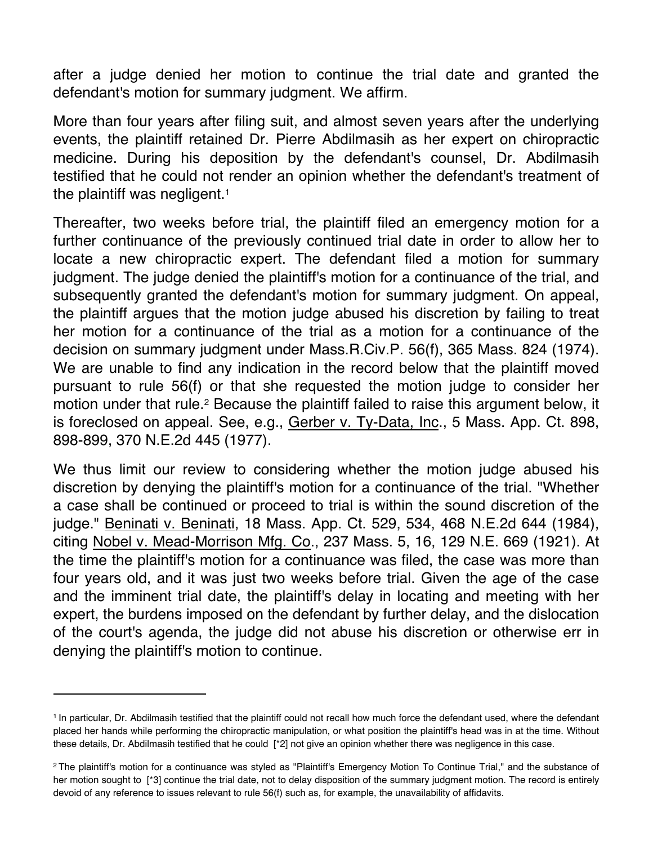after a judge denied her motion to continue the trial date and granted the defendant's motion for summary judgment. We affirm.

More than four years after filing suit, and almost seven years after the underlying events, the plaintiff retained Dr. Pierre Abdilmasih as her expert on chiropractic medicine. During his deposition by the defendant's counsel, Dr. Abdilmasih testified that he could not render an opinion whether the defendant's treatment of the plaintiff was negligent.<sup>1</sup>

Thereafter, two weeks before trial, the plaintiff filed an emergency motion for a further continuance of the previously continued trial date in order to allow her to locate a new chiropractic expert. The defendant filed a motion for summary judgment. The judge denied the plaintiff's motion for a continuance of the trial, and subsequently granted the defendant's motion for summary judgment. On appeal, the plaintiff argues that the motion judge abused his discretion by failing to treat her motion for a continuance of the trial as a motion for a continuance of the decision on summary judgment under Mass.R.Civ.P. 56(f), 365 Mass. 824 (1974). We are unable to find any indication in the record below that the plaintiff moved pursuant to rule 56(f) or that she requested the motion judge to consider her motion under that rule.<sup>2</sup> Because the plaintiff failed to raise this argument below, it is foreclosed on appeal. See, e.g., Gerber v. Ty-Data, Inc., 5 Mass. App. Ct. 898, 898-899, 370 N.E.2d 445 (1977).

We thus limit our review to considering whether the motion judge abused his discretion by denying the plaintiff's motion for a continuance of the trial. "Whether a case shall be continued or proceed to trial is within the sound discretion of the judge." Beninati v. Beninati, 18 Mass. App. Ct. 529, 534, 468 N.E.2d 644 (1984), citing Nobel v. Mead-Morrison Mfg. Co., 237 Mass. 5, 16, 129 N.E. 669 (1921). At the time the plaintiff's motion for a continuance was filed, the case was more than four years old, and it was just two weeks before trial. Given the age of the case and the imminent trial date, the plaintiff's delay in locating and meeting with her expert, the burdens imposed on the defendant by further delay, and the dislocation of the court's agenda, the judge did not abuse his discretion or otherwise err in denying the plaintiff's motion to continue.

<sup>1</sup> In particular, Dr. Abdilmasih testified that the plaintiff could not recall how much force the defendant used, where the defendant placed her hands while performing the chiropractic manipulation, or what position the plaintiff's head was in at the time. Without these details, Dr. Abdilmasih testified that he could [\*2] not give an opinion whether there was negligence in this case.

<sup>2</sup> The plaintiff's motion for a continuance was styled as "Plaintiff's Emergency Motion To Continue Trial," and the substance of her motion sought to [\*3] continue the trial date, not to delay disposition of the summary judgment motion. The record is entirely devoid of any reference to issues relevant to rule 56(f) such as, for example, the unavailability of affidavits.